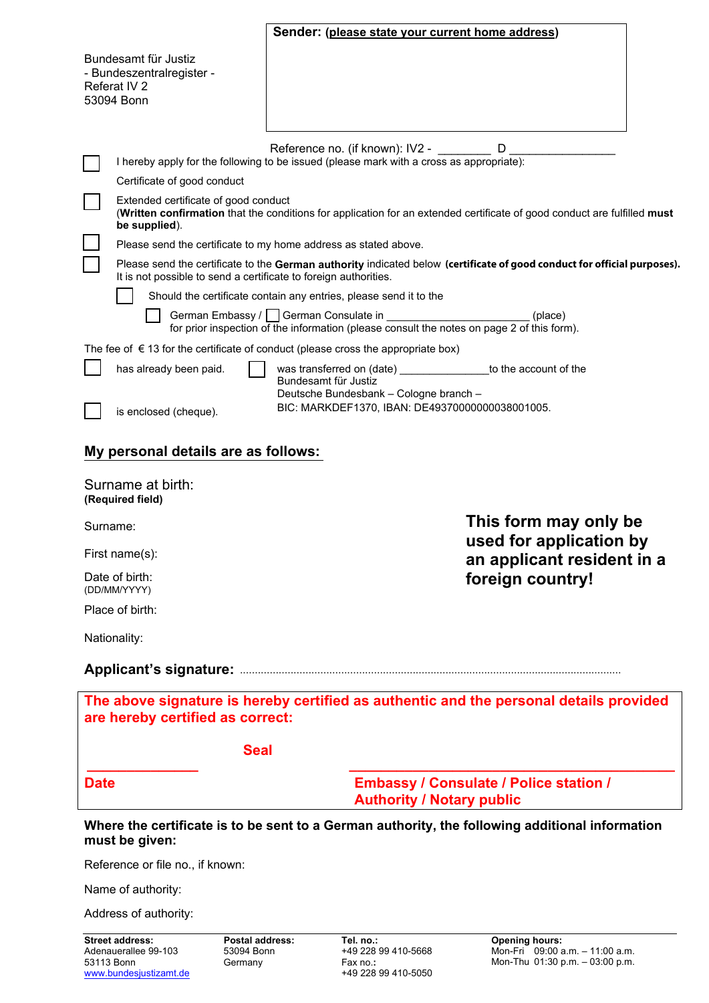|                                                                                                                            |                                                                                                                                                                                   | Sender: (please state your current home address)                                                                                              |  |
|----------------------------------------------------------------------------------------------------------------------------|-----------------------------------------------------------------------------------------------------------------------------------------------------------------------------------|-----------------------------------------------------------------------------------------------------------------------------------------------|--|
|                                                                                                                            | Bundesamt für Justiz                                                                                                                                                              |                                                                                                                                               |  |
| - Bundeszentralregister -<br>Referat IV 2                                                                                  |                                                                                                                                                                                   |                                                                                                                                               |  |
| 53094 Bonn                                                                                                                 |                                                                                                                                                                                   |                                                                                                                                               |  |
|                                                                                                                            |                                                                                                                                                                                   |                                                                                                                                               |  |
|                                                                                                                            |                                                                                                                                                                                   | Reference no. (if known): IV2 -<br>D<br>I hereby apply for the following to be issued (please mark with a cross as appropriate):              |  |
|                                                                                                                            | Certificate of good conduct                                                                                                                                                       |                                                                                                                                               |  |
|                                                                                                                            | Extended certificate of good conduct<br>(Written confirmation that the conditions for application for an extended certificate of good conduct are fulfilled must<br>be supplied). |                                                                                                                                               |  |
|                                                                                                                            |                                                                                                                                                                                   | Please send the certificate to my home address as stated above.                                                                               |  |
|                                                                                                                            | It is not possible to send a certificate to foreign authorities.                                                                                                                  | Please send the certificate to the German authority indicated below (certificate of good conduct for official purposes).                      |  |
|                                                                                                                            |                                                                                                                                                                                   | Should the certificate contain any entries, please send it to the                                                                             |  |
|                                                                                                                            |                                                                                                                                                                                   | German Embassy / German Consulate in<br>(place)<br>for prior inspection of the information (please consult the notes on page 2 of this form). |  |
| The fee of $\epsilon$ 13 for the certificate of conduct (please cross the appropriate box)                                 |                                                                                                                                                                                   |                                                                                                                                               |  |
|                                                                                                                            | has already been paid.                                                                                                                                                            | was transferred on (date) __________________ to the account of the<br>Bundesamt für Justiz<br>Deutsche Bundesbank - Cologne branch -          |  |
|                                                                                                                            | is enclosed (cheque).                                                                                                                                                             | BIC: MARKDEF1370, IBAN: DE49370000000038001005.                                                                                               |  |
| My personal details are as follows:                                                                                        |                                                                                                                                                                                   |                                                                                                                                               |  |
| Surname at birth:<br>(Required field)                                                                                      |                                                                                                                                                                                   |                                                                                                                                               |  |
| Surname:                                                                                                                   |                                                                                                                                                                                   | This form may only be                                                                                                                         |  |
| First name(s):                                                                                                             |                                                                                                                                                                                   | used for application by<br>an applicant resident in a                                                                                         |  |
| Date of birth:<br>(DD/MM/YYYY)                                                                                             |                                                                                                                                                                                   | foreign country!                                                                                                                              |  |
| Place of birth:                                                                                                            |                                                                                                                                                                                   |                                                                                                                                               |  |
| Nationality:                                                                                                               |                                                                                                                                                                                   |                                                                                                                                               |  |
|                                                                                                                            |                                                                                                                                                                                   |                                                                                                                                               |  |
| The above signature is hereby certified as authentic and the personal details provided<br>are hereby certified as correct: |                                                                                                                                                                                   |                                                                                                                                               |  |
|                                                                                                                            | <b>Seal</b>                                                                                                                                                                       |                                                                                                                                               |  |
| <b>Date</b>                                                                                                                |                                                                                                                                                                                   | <b>Embassy / Consulate / Police station /</b><br><b>Authority / Notary public</b>                                                             |  |
| Where the certificate is to be sent to a German authority, the following additional information<br>must be given:          |                                                                                                                                                                                   |                                                                                                                                               |  |
| Reference or file no., if known:                                                                                           |                                                                                                                                                                                   |                                                                                                                                               |  |

Name of authority:

Address of authority: